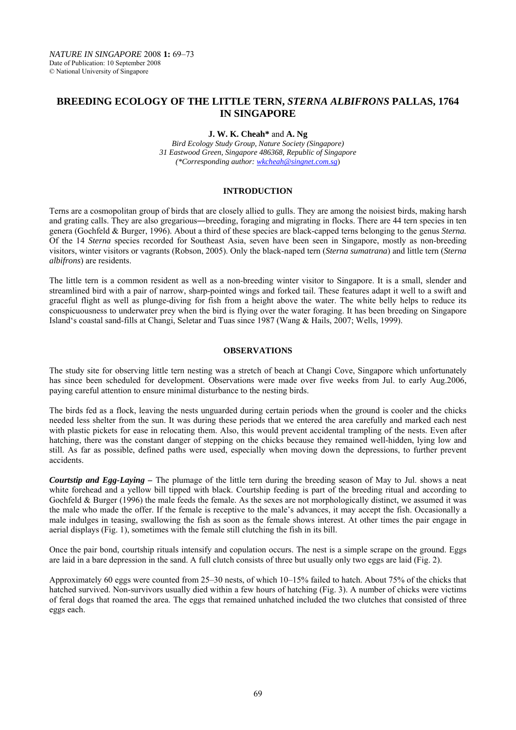# **BREEDING ECOLOGY OF THE LITTLE TERN,** *STERNA ALBIFRONS* **PALLAS, 1764 IN SINGAPORE**

## **J. W. K. Cheah\*** and **A. Ng**

*Bird Ecology Study Group, Nature Society (Singapore) 31 Eastwood Green, Singapore 486368, Republic of Singapore (\*Corresponding author: wkcheah@singnet.com.sg*)

### **INTRODUCTION**

Terns are a cosmopolitan group of birds that are closely allied to gulls. They are among the noisiest birds, making harsh and grating calls. They are also gregarious—breeding, foraging and migrating in flocks. There are 44 tern species in ten genera (Gochfeld & Burger, 1996). About a third of these species are black-capped terns belonging to the genus *Sterna.*  Of the 14 *Sterna* species recorded for Southeast Asia, seven have been seen in Singapore, mostly as non-breeding visitors, winter visitors or vagrants (Robson, 2005). Only the black-naped tern (*Sterna sumatrana*) and little tern (*Sterna albifrons*) are residents.

The little tern is a common resident as well as a non-breeding winter visitor to Singapore. It is a small, slender and streamlined bird with a pair of narrow, sharp-pointed wings and forked tail. These features adapt it well to a swift and graceful flight as well as plunge-diving for fish from a height above the water. The white belly helps to reduce its conspicuousness to underwater prey when the bird is flying over the water foraging. It has been breeding on Singapore Island's coastal sand-fills at Changi, Seletar and Tuas since 1987 (Wang & Hails, 2007; Wells, 1999).

#### **OBSERVATIONS**

The study site for observing little tern nesting was a stretch of beach at Changi Cove, Singapore which unfortunately has since been scheduled for development. Observations were made over five weeks from Jul. to early Aug.2006, paying careful attention to ensure minimal disturbance to the nesting birds.

The birds fed as a flock, leaving the nests unguarded during certain periods when the ground is cooler and the chicks needed less shelter from the sun. It was during these periods that we entered the area carefully and marked each nest with plastic pickets for ease in relocating them. Also, this would prevent accidental trampling of the nests. Even after hatching, there was the constant danger of stepping on the chicks because they remained well-hidden, lying low and still. As far as possible, defined paths were used, especially when moving down the depressions, to further prevent accidents.

*Courtstip and Egg-Laying –* The plumage of the little tern during the breeding season of May to Jul. shows a neat white forehead and a yellow bill tipped with black. Courtship feeding is part of the breeding ritual and according to Gochfeld & Burger (1996) the male feeds the female. As the sexes are not morphologically distinct, we assumed it was the male who made the offer. If the female is receptive to the male's advances, it may accept the fish. Occasionally a male indulges in teasing, swallowing the fish as soon as the female shows interest. At other times the pair engage in aerial displays (Fig. 1), sometimes with the female still clutching the fish in its bill.

Once the pair bond, courtship rituals intensify and copulation occurs. The nest is a simple scrape on the ground. Eggs are laid in a bare depression in the sand. A full clutch consists of three but usually only two eggs are laid (Fig. 2).

Approximately 60 eggs were counted from 25–30 nests, of which 10–15% failed to hatch. About 75% of the chicks that hatched survived. Non-survivors usually died within a few hours of hatching (Fig. 3). A number of chicks were victims of feral dogs that roamed the area. The eggs that remained unhatched included the two clutches that consisted of three eggs each.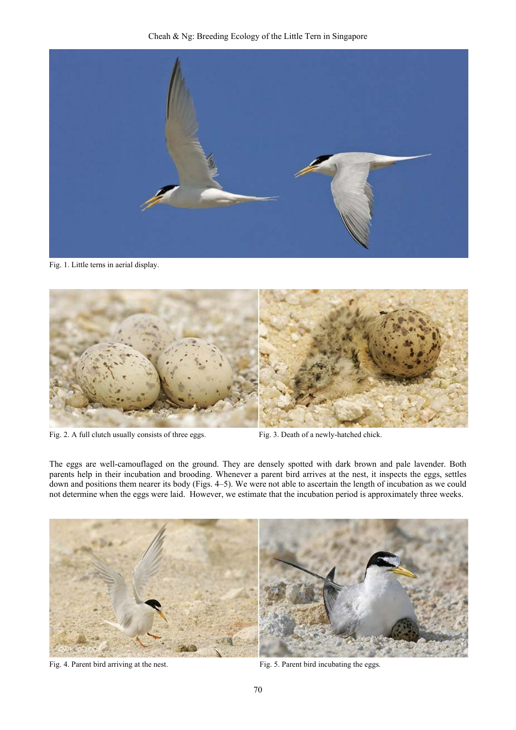

Fig. 1. Little terns in aerial display.



Fig. 2. A full clutch usually consists of three eggs. Fig. 3. Death of a newly-hatched chick.

The eggs are well-camouflaged on the ground. They are densely spotted with dark brown and pale lavender. Both parents help in their incubation and brooding. Whenever a parent bird arrives at the nest, it inspects the eggs, settles down and positions them nearer its body (Figs. 4–5). We were not able to ascertain the length of incubation as we could not determine when the eggs were laid. However, we estimate that the incubation period is approximately three weeks.



Fig. 4. Parent bird arriving at the nest. Fig. 5. Parent bird incubating the eggs.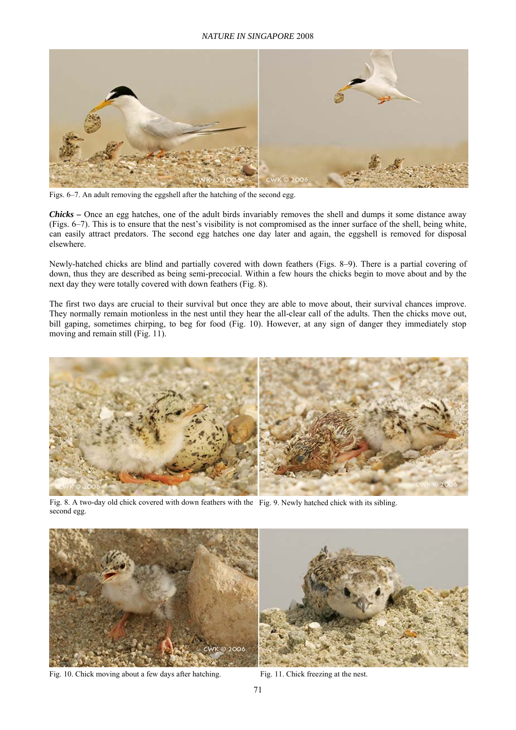#### *NATURE IN SINGAPORE* 2008



Figs. 6–7. An adult removing the eggshell after the hatching of the second egg.

*Chicks –* Once an egg hatches, one of the adult birds invariably removes the shell and dumps it some distance away (Figs. 6–7). This is to ensure that the nest's visibility is not compromised as the inner surface of the shell, being white, can easily attract predators. The second egg hatches one day later and again, the eggshell is removed for disposal elsewhere.

Newly-hatched chicks are blind and partially covered with down feathers (Figs. 8–9). There is a partial covering of down, thus they are described as being semi-precocial. Within a few hours the chicks begin to move about and by the next day they were totally covered with down feathers (Fig. 8).

The first two days are crucial to their survival but once they are able to move about, their survival chances improve. They normally remain motionless in the nest until they hear the all-clear call of the adults. Then the chicks move out, bill gaping, sometimes chirping, to beg for food (Fig. 10). However, at any sign of danger they immediately stop moving and remain still (Fig. 11).



Fig. 8. A two-day old chick covered with down feathers with the Fig. 9. Newly hatched chick with its sibling. second egg.



Fig. 10. Chick moving about a few days after hatching. Fig. 11. Chick freezing at the nest.

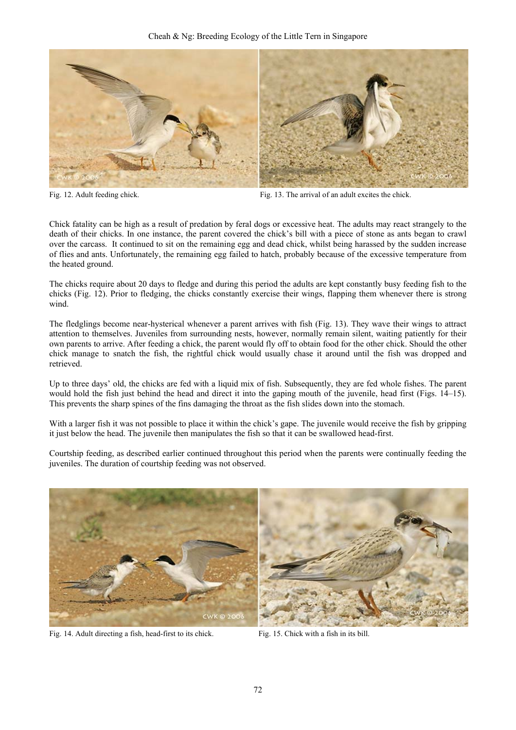Cheah & Ng: Breeding Ecology of the Little Tern in Singapore



Fig. 12. Adult feeding chick. Fig. 13. The arrival of an adult excites the chick.

Chick fatality can be high as a result of predation by feral dogs or excessive heat. The adults may react strangely to the death of their chicks. In one instance, the parent covered the chick's bill with a piece of stone as ants began to crawl over the carcass. It continued to sit on the remaining egg and dead chick, whilst being harassed by the sudden increase of flies and ants. Unfortunately, the remaining egg failed to hatch, probably because of the excessive temperature from the heated ground.

The chicks require about 20 days to fledge and during this period the adults are kept constantly busy feeding fish to the chicks (Fig. 12). Prior to fledging, the chicks constantly exercise their wings, flapping them whenever there is strong wind.

The fledglings become near-hysterical whenever a parent arrives with fish (Fig. 13). They wave their wings to attract attention to themselves. Juveniles from surrounding nests, however, normally remain silent, waiting patiently for their own parents to arrive. After feeding a chick, the parent would fly off to obtain food for the other chick. Should the other chick manage to snatch the fish, the rightful chick would usually chase it around until the fish was dropped and retrieved.

Up to three days' old, the chicks are fed with a liquid mix of fish. Subsequently, they are fed whole fishes. The parent would hold the fish just behind the head and direct it into the gaping mouth of the juvenile, head first (Figs. 14–15). This prevents the sharp spines of the fins damaging the throat as the fish slides down into the stomach.

With a larger fish it was not possible to place it within the chick's gape. The juvenile would receive the fish by gripping it just below the head. The juvenile then manipulates the fish so that it can be swallowed head-first.

Courtship feeding, as described earlier continued throughout this period when the parents were continually feeding the juveniles. The duration of courtship feeding was not observed.



Fig. 14. Adult directing a fish, head-first to its chick. Fig. 15. Chick with a fish in its bill.